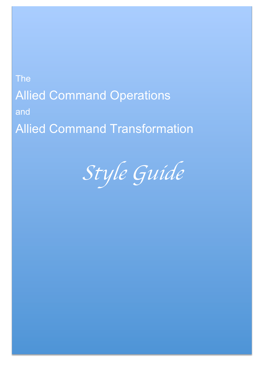The Allied Command Operations and Allied Command Transformation

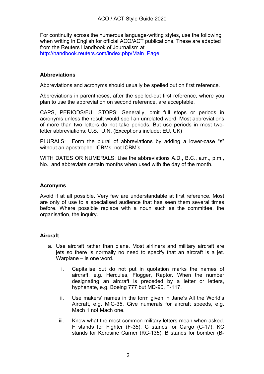For continuity across the numerous language-writing styles, use the following when writing in English for official ACO/ACT publications. These are adapted from the Reuters Handbook of Journalism at http://handbook.reuters.com/index.php/Main\_Page

## **Abbreviations**

Abbreviations and acronyms should usually be spelled out on first reference.

Abbreviations in parentheses, after the spelled-out first reference, where you plan to use the abbreviation on second reference, are acceptable.

CAPS, PERIODS/FULLSTOPS: Generally, omit full stops or periods in acronyms unless the result would spell an unrelated word. Most abbreviations of more than two letters do not take periods. But use periods in most twoletter abbreviations: U.S., U.N. (Exceptions include: EU, UK)

PLURALS: Form the plural of abbreviations by adding a lower-case "s" without an apostrophe: ICBMs, not ICBM's.

WITH DATES OR NUMERALS: Use the abbreviations A.D., B.C., a.m., p.m., No., and abbreviate certain months when used with the day of the month.

## **Acronyms**

Avoid if at all possible. Very few are understandable at first reference. Most are only of use to a specialised audience that has seen them several times before. Where possible replace with a noun such as the committee, the organisation, the inquiry.

# **Aircraft**

- a. Use aircraft rather than plane. Most airliners and military aircraft are jets so there is normally no need to specify that an aircraft is a jet. Warplane – is one word.
	- i. Capitalise but do not put in quotation marks the names of aircraft, e.g. Hercules, Flogger, Raptor. When the number designating an aircraft is preceded by a letter or letters, hyphenate, e.g. Boeing 777 but MD-90, F-117.
	- ii. Use makers' names in the form given in Jane's All the World's Aircraft, e.g. MiG-35. Give numerals for aircraft speeds, e.g. Mach 1 not Mach one.
	- iii. Know what the most common military letters mean when asked. F stands for Fighter (F-35), C stands for Cargo (C-17), KC stands for Kerosine Carrier (KC-135), B stands for bomber (B-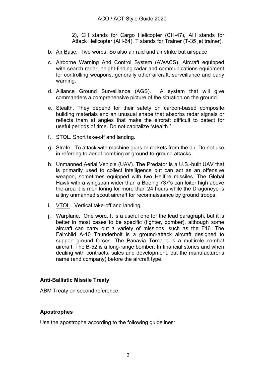2), CH stands for Cargo Helicopter (CH-47), AH stands for Attack Helicopter (AH-64), T stands for Trainer (T-35 jet trainer).

- b. Air Base.Two words. So also air raid and air strike but airspace.
- c. Airborne Warning And Control System (AWACS). Aircraft equipped with search radar, height-finding radar and communications equipment for controlling weapons, generally other aircraft, surveillance and early warning.
- d. Alliance Ground Surveillance (AGS). A system that will give commanders a comprehensive picture of the situation on the ground.
- e. Stealth. They depend for their safety on carbon-based composite building materials and an unusual shape that absorbs radar signals or reflects them at angles that make the aircraft difficult to detect for useful periods of time. Do not capitalize "stealth."
- f. STOL. Short take-off and landing.
- g. Strafe. To attack with machine guns or rockets from the air. Do not use in referring to aerial bombing or ground-to-ground attacks.
- h. Unmanned Aerial Vehicle (UAV). The Predator is a U.S.-built UAV that is primarily used to collect intelligence but can act as an offensive weapon, sometimes equipped with two Hellfire missiles. The Global Hawk with a wingspan wider than a Boeing 737's can loiter high above the area it is monitoring for more than 24 hours while the Dragoneye is a tiny unmanned scout aircraft for reconnaissance by ground troops.
- i. VTOL. Vertical take-off and landing.
- j. Warplane. One word. It is a useful one for the lead paragraph, but it is better in most cases to be specific (fighter, bomber), although some aircraft can carry out a variety of missions, such as the F16. The Fairchild A-10 Thunderbolt is a ground-attack aircraft designed to support ground forces. The Panavia Tornado is a multirole combat aircraft. The B-52 is a long-range bomber. In financial stories and when dealing with contracts, sales and development, put the manufacturer's name (and company) before the aircraft type.

## **Anti-Ballistic Missile Treaty**

ABM Treaty on second reference.

## **Apostrophes**

Use the apostrophe according to the following guidelines: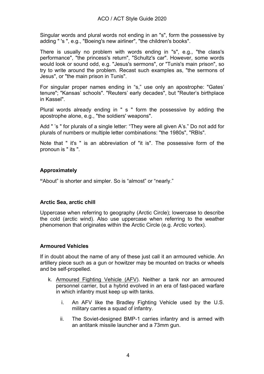Singular words and plural words not ending in an "s", form the possessive by adding " 's ", e.g., "Boeing's new airliner", "the children's books".

There is usually no problem with words ending in "s", e.g., "the class's performance", "the princess's return", "Schultz's car". However, some words would look or sound odd, e.g. "Jesus's sermons", or "Tunis's main prison", so try to write around the problem. Recast such examples as, "the sermons of Jesus", or "the main prison in Tunis".

For singular proper names ending in "s," use only an apostrophe: "Gates' tenure"; "Kansas' schools". "Reuters' early decades", but "Reuter's birthplace in Kassel".

Plural words already ending in " s " form the possessive by adding the apostrophe alone, e.g., "the soldiers' weapons".

Add " 's " for plurals of a single letter: "They were all given A's." Do not add for plurals of numbers or multiple letter combinations: "the 1980s", "RBIs".

Note that " it's " is an abbreviation of "it is". The possessive form of the pronoun is " its ".

# **Approximately**

**"**About" is shorter and simpler. So is "almost" or "nearly."

# **Arctic Sea, arctic chill**

Uppercase when referring to geography (Arctic Circle); lowercase to describe the cold (arctic wind). Also use uppercase when referring to the weather phenomenon that originates within the Arctic Circle (e.g. Arctic vortex).

## **Armoured Vehicles**

If in doubt about the name of any of these just call it an armoured vehicle. An artillery piece such as a gun or howitzer may be mounted on tracks or wheels and be self-propelled.

- k. Armoured Fighting Vehicle (AFV). Neither a tank nor an armoured personnel carrier, but a hybrid evolved in an era of fast-paced warfare in which infantry must keep up with tanks.
	- i. An AFV like the Bradley Fighting Vehicle used by the U.S. military carries a squad of infantry.
	- ii. The Soviet-designed BMP-1 carries infantry and is armed with an antitank missile launcher and a 73mm gun.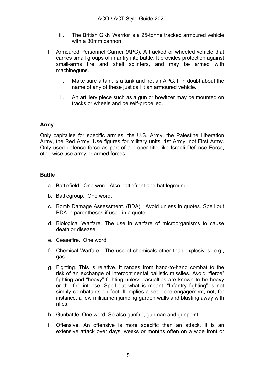- iii. The British GKN Warrior is a 25-tonne tracked armoured vehicle with a 30mm cannon.
- l. Armoured Personnel Carrier (APC). A tracked or wheeled vehicle that carries small groups of infantry into battle. It provides protection against small-arms fire and shell splinters, and may be armed with machineguns.
	- i. Make sure a tank is a tank and not an APC. If in doubt about the name of any of these just call it an armoured vehicle.
	- ii. An artillery piece such as a gun or howitzer may be mounted on tracks or wheels and be self-propelled.

# **Army**

Only capitalise for specific armies: the U.S. Army, the Palestine Liberation Army, the Red Army. Use figures for military units: 1st Army, not First Army. Only used defence force as part of a proper title like Israeli Defence Force, otherwise use army or armed forces.

## **Battle**

- a. Battlefield. One word. Also battlefront and battleground.
- b. Battlegroup. One word.
- c. Bomb Damage Assessment. (BDA). Avoid unless in quotes. Spell out BDA in parentheses if used in a quote
- d. Biological Warfare. The use in warfare of microorganisms to cause death or disease.
- e. Ceasefire. One word
- f. Chemical Warfare. The use of chemicals other than explosives, e.g., gas.
- g. Fighting. This is relative. It ranges from hand-to-hand combat to the risk of an exchange of intercontinental ballistic missiles. Avoid "fierce" fighting and "heavy" fighting unless casualties are known to be heavy or the fire intense. Spell out what is meant. "Infantry fighting" is not simply combatants on foot. It implies a set-piece engagement, not, for instance, a few militiamen jumping garden walls and blasting away with rifles.
- h. Gunbattle. One word. So also gunfire, gunman and gunpoint.
- i. Offensive. An offensive is more specific than an attack. It is an extensive attack over days, weeks or months often on a wide front or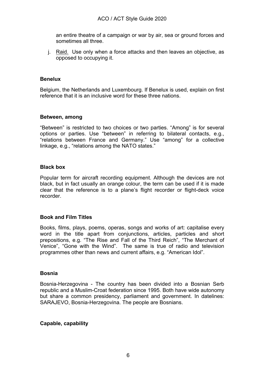an entire theatre of a campaign or war by air, sea or ground forces and sometimes all three.

j. Raid. Use only when a force attacks and then leaves an objective, as opposed to occupying it.

## **Benelux**

Belgium, the Netherlands and Luxembourg. If Benelux is used, explain on first reference that it is an inclusive word for these three nations.

### **Between, among**

"Between" is restricted to two choices or two parties. "Among" is for several options or parties. Use "between" in referring to bilateral contacts, e.g., "relations between France and Germany." Use "among" for a collective linkage, e.g., "relations among the NATO states."

## **Black box**

Popular term for aircraft recording equipment. Although the devices are not black, but in fact usually an orange colour, the term can be used if it is made clear that the reference is to a plane's flight recorder or flight-deck voice recorder.

## **Book and Film Titles**

Books, films, plays, poems, operas, songs and works of art: capitalise every word in the title apart from conjunctions, articles, particles and short prepositions, e.g. "The Rise and Fall of the Third Reich", "The Merchant of Venice", "Gone with the Wind". The same is true of radio and television programmes other than news and current affairs, e.g. "American Idol".

#### **Bosnia**

Bosnia-Herzegovina - The country has been divided into a Bosnian Serb republic and a Muslim-Croat federation since 1995. Both have wide autonomy but share a common presidency, parliament and government. In datelines: SARAJEVO, Bosnia-Herzegovina. The people are Bosnians.

#### **Capable, capability**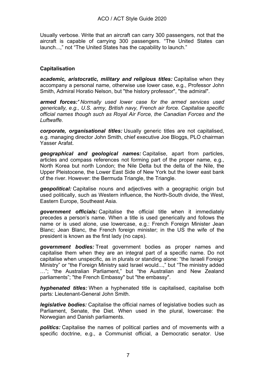Usually verbose. Write that an aircraft can carry 300 passengers, not that the aircraft is capable of carrying 300 passengers. "The United States can launch...," not "The United States has the capability to launch."

### **Capitalisation**

*academic, aristocratic, military and religious titles:* Capitalise when they accompany a personal name, otherwise use lower case, e.g., Professor John Smith, Admiral Horatio Nelson, but "the history professor", "the admiral".

*armed forces:' Normally used lower case for the armed services used generically, e.g., U.S. army, British navy, French air force. Capitalise specific official names though such as Royal Air Force, the Canadian Forces and the Luftwaffe.* 

*corporate, organisational titles:* Usually generic titles are not capitalised, e.g. managing director John Smith, chief executive Joe Bloggs, PLO chairman Yasser Arafat.

*geographical and geological names:* Capitalise, apart from particles, articles and compass references not forming part of the proper name, e.g., North Korea but north London; the Nile Delta but the delta of the Nile, the Upper Pleistocene, the Lower East Side of New York but the lower east bank of the river. However: the Bermuda Triangle, the Triangle.

*geopolitical:* Capitalise nouns and adjectives with a geographic origin but used politically, such as Western influence, the North-South divide, the West, Eastern Europe, Southeast Asia.

*government officials:* Capitalise the official title when it immediately precedes a person's name. When a title is used generically and follows the name or is used alone, use lowercase, e.g.: French Foreign Minister Jean Blanc; Jean Blanc, the French foreign minister; in the US the wife of the president is known as the first lady (no caps).

*government bodies:* Treat government bodies as proper names and capitalise them when they are an integral part of a specific name. Do not capitalise when unspecific, as in plurals or standing alone: "the Israeli Foreign Ministry" or "the Foreign Ministry said Israel would...," but "The ministry added …"; "the Australian Parliament," but "the Australian and New Zealand parliaments"; "the French Embassy" but "the embassy".

*hyphenated titles:* When a hyphenated title is capitalised, capitalise both parts: Lieutenant-General John Smith.

*legislative bodies:* Capitalise the official names of legislative bodies such as Parliament, Senate, the Diet. When used in the plural, lowercase: the Norwegian and Danish parliaments.

*politics:* Capitalise the names of political parties and of movements with a specific doctrine, e.g., a Communist official, a Democratic senator. Use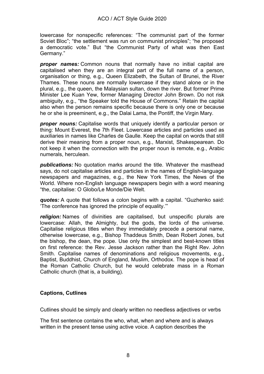lowercase for nonspecific references: "The communist part of the former Soviet Bloc"; "the settlement was run on communist principles"; "he proposed a democratic vote." But "the Communist Party of what was then East Germany."

*proper names:* Common nouns that normally have no initial capital are capitalised when they are an integral part of the full name of a person, organisation or thing, e.g., Queen Elizabeth, the Sultan of Brunei, the River Thames. These nouns are normally lowercase if they stand alone or in the plural, e.g., the queen, the Malaysian sultan, down the river. But former Prime Minister Lee Kuan Yew, former Managing Director John Brown. Do not risk ambiguity, e.g., "the Speaker told the House of Commons." Retain the capital also when the person remains specific because there is only one or because he or she is preeminent, e.g., the Dalai Lama, the Pontiff, the Virgin Mary.

*proper nouns:* Capitalise words that uniquely identify a particular person or thing: Mount Everest, the 7th Fleet. Lowercase articles and particles used as auxiliaries in names like Charles de Gaulle. Keep the capital on words that still derive their meaning from a proper noun, e.g., Marxist, Shakespearean. Do not keep it when the connection with the proper noun is remote, e.g., Arabic numerals, herculean.

**publications:** No quotation marks around the title. Whatever the masthead says, do not capitalise articles and particles in the names of English-language newspapers and magazines, e.g., the New York Times, the News of the World. Where non-English language newspapers begin with a word meaning "the, capitalise: O Globo/Le Monde/Die Welt.

*quotes:* A quote that follows a colon begins with a capital. "Guzhenko said: 'The conference has ignored the principle of equality.'"

*religion:* Names of divinities are capitalised, but unspecific plurals are lowercase: Allah, the Almighty, but the gods, the lords of the universe. Capitalise religious titles when they immediately precede a personal name, otherwise lowercase, e.g., Bishop Thaddeus Smith, Dean Robert Jones, but the bishop, the dean, the pope. Use only the simplest and best-known titles on first reference: the Rev. Jesse Jackson rather than the Right Rev. John Smith. Capitalise names of denominations and religious movements, e.g., Baptist, Buddhist, Church of England, Muslim, Orthodox. The pope is head of the Roman Catholic Church, but he would celebrate mass in a Roman Catholic church (that is, a building).

## **Captions, Cutlines**

Cutlines should be simply and clearly written no needless adjectives or verbs

The first sentence contains the who, what, when and where and is always written in the present tense using active voice. A caption describes the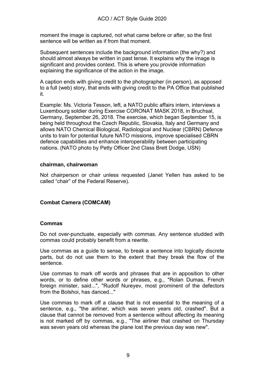moment the image is captured, not what came before or after, so the first sentence will be written as if from that moment.

Subsequent sentences include the background information (the why?) and should almost always be written in past tense. It explains why the image is significant and provides context. This is where you provide information explaining the significance of the action in the image.

A caption ends with giving credit to the photographer (in person), as apposed to a full (web) story, that ends with giving credit to the PA Office that published it.

Example: Ms. Victoria Tesson, left, a NATO public affairs intern, interviews a Luxembourg soldier during Exercise CORONAT MASK 2018, in Bruchsal, Germany, September 26, 2018. The exercise, which began September 15, is being held throughout the Czech Republic, Slovakia, Italy and Germany and allows NATO Chemical Biological, Radiological and Nuclear (CBRN) Defence units to train for potential future NATO missions, improve specialised CBRN defence capabilities and enhance interoperability between participating nations. (NATO photo by Petty Officer 2nd Class Brett Dodge, USN)

## **chairman, chairwoman**

Not chairperson or chair unless requested (Janet Yellen has asked to be called "chair" of the Federal Reserve).

# **Combat Camera (COMCAM)**

## **Commas**

Do not over-punctuate, especially with commas. Any sentence studded with commas could probably benefit from a rewrite.

Use commas as a guide to sense, to break a sentence into logically discrete parts, but do not use them to the extent that they break the flow of the sentence.

Use commas to mark off words and phrases that are in apposition to other words, or to define other words or phrases, e.g., "Rolan Dumas, French foreign minister, said...", "Rudolf Nureyev, most prominent of the defectors from the Bolshoi, has danced..."

Use commas to mark off a clause that is not essential to the meaning of a sentence, e.g., "the airliner, which was seven years old, crashed". But a clause that cannot be removed from a sentence without affecting its meaning is not marked off by commas, e.g., "The airliner that crashed on Thursday was seven years old whereas the plane lost the previous day was new".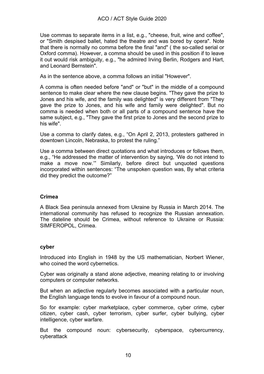Use commas to separate items in a list, e.g., "cheese, fruit, wine and coffee", or "Smith despised ballet, hated the theatre and was bored by opera". Note that there is normally no comma before the final "and" ( the so-called serial or Oxford comma). However, a comma should be used in this position if to leave it out would risk ambiguity, e.g., "he admired Irving Berlin, Rodgers and Hart, and Leonard Bernstein".

As in the sentence above, a comma follows an initial "However".

A comma is often needed before "and" or "but" in the middle of a compound sentence to make clear where the new clause begins. "They gave the prize to Jones and his wife, and the family was delighted" is very different from "They gave the prize to Jones, and his wife and family were delighted". But no comma is needed when both or all parts of a compound sentence have the same subject, e.g., "They gave the first prize to Jones and the second prize to his wife".

Use a comma to clarify dates, e.g., "On April 2, 2013, protesters gathered in downtown Lincoln, Nebraska, to protest the ruling."

Use a comma between direct quotations and what introduces or follows them, e.g., "He addressed the matter of intervention by saying, 'We do not intend to make a move now.'" Similarly, before direct but unquoted questions incorporated within sentences: "The unspoken question was, By what criteria did they predict the outcome?"

## **Crimea**

A Black Sea peninsula annexed from Ukraine by Russia in March 2014. The international community has refused to recognize the Russian annexation. The dateline should be Crimea, without reference to Ukraine or Russia: SIMFEROPOL, Crimea.

## **cyber**

Introduced into English in 1948 by the US mathematician, Norbert Wiener, who coined the word cybernetics.

Cyber was originally a stand alone adjective, meaning relating to or involving computers or computer networks.

But when an adjective regularly becomes associated with a particular noun, the English language tends to evolve in favour of a compound noun.

So for example: cyber marketplace, cyber commerce, cyber crime, cyber citizen, cyber cash, cyber terrorism, cyber surfer, cyber bullying, cyber intelligence, cyber warfare.

But the compound noun: cybersecurity, cyberspace, cybercurrency, cyberattack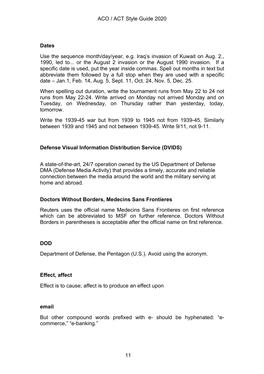# **Dates**

Use the sequence month/day/year, e.g. Iraq's invasion of Kuwait on Aug. 2., 1990, led to... or the August 2 invasion or the August 1990 invasion. If a specific date is used, put the year inside commas. Spell out months in text but abbreviate them followed by a full stop when they are used with a specific date – Jan.1, Feb. 14, Aug. 5, Sept. 11, Oct. 24, Nov. 5, Dec. 25.

When spelling out duration, write the tournament runs from May 22 to 24 not runs from May 22-24. Write arrived on Monday not arrived Monday and on Tuesday, on Wednesday, on Thursday rather than yesterday, today, tomorrow.

Write the 1939-45 war but from 1939 to 1945 not from 1939-45. Similarly between 1939 and 1945 and not between 1939-45. Write 9/11, not 9-11.

## **Defense Visual Information Distribution Service (DVIDS)**

A state-of-the-art, 24/7 operation owned by the US Department of Defense DMA (Defense Media Activity) that provides a timely, accurate and reliable connection between the media around the world and the military serving at home and abroad.

## **Doctors Without Borders, Medecins Sans Frontieres**

Reuters uses the official name Medecins Sans Frontieres on first reference which can be abbreviated to MSF on further reference. Doctors Without Borders in parentheses is acceptable after the official name on first reference.

## **DOD**

Department of Defense, the Pentagon (U.S.). Avoid using the acronym.

## **Effect, affect**

Effect is to cause; affect is to produce an effect upon

#### **email**

But other compound words prefixed with e- should be hyphenated: "ecommerce," "e-banking."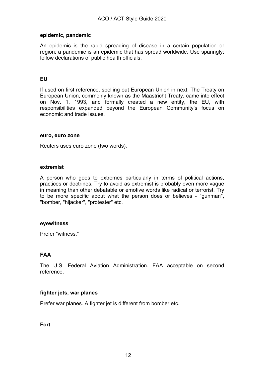## **epidemic, pandemic**

An epidemic is the rapid spreading of disease in a certain population or region; a pandemic is an epidemic that has spread worldwide. Use sparingly: follow declarations of public health officials.

## **EU**

If used on first reference, spelling out European Union in next. The Treaty on European Union, commonly known as the Maastricht Treaty, came into effect on Nov. 1, 1993, and formally created a new entity, the EU, with responsibilities expanded beyond the European Community's focus on economic and trade issues.

#### **euro, euro zone**

Reuters uses euro zone (two words).

#### **extremist**

A person who goes to extremes particularly in terms of political actions, practices or doctrines. Try to avoid as extremist is probably even more vague in meaning than other debatable or emotive words like radical or terrorist. Try to be more specific about what the person does or believes - "gunman", "bomber, "hijacker", "protester" etc.

#### **eyewitness**

Prefer "witness."

## **FAA**

The U.S. Federal Aviation Administration. FAA acceptable on second reference.

## **fighter jets, war planes**

Prefer war planes. A fighter jet is different from bomber etc.

**Fort**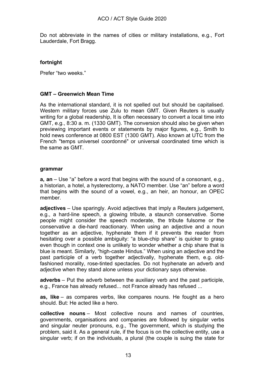Do not abbreviate in the names of cities or military installations, e.g., Fort Lauderdale, Fort Bragg.

# **fortnight**

Prefer "two weeks."

## **GMT – Greenwich Mean Time**

As the international standard, it is not spelled out but should be capitalised. Western military forces use Zulu to mean GMT. Given Reuters is usually writing for a global readership, It is often necessary to convert a local time into GMT, e.g., 8:30 a. m. (1330 GMT). The conversion should also be given when previewing important events or statements by major figures, e.g., Smith to hold news conference at 0800 EST (1300 GMT). Also known at UTC from the French "temps universel coordonné" or universal coordinated time which is the same as GMT.

### **grammar**

**a, an** – Use "a" before a word that begins with the sound of a consonant, e.g., a historian, a hotel, a hysterectomy, a NATO member. Use "an" before a word that begins with the sound of a vowel, e.g., an heir, an honour, an OPEC member.

**adjectives** – Use sparingly. Avoid adjectives that imply a Reuters judgement, e.g., a hard-line speech, a glowing tribute, a staunch conservative. Some people might consider the speech moderate, the tribute fulsome or the conservative a die-hard reactionary. When using an adjective and a noun together as an adjective, hyphenate them if it prevents the reader from hesitating over a possible ambiguity: "a blue-chip share" is quicker to grasp even though in context one is unlikely to wonder whether a chip share that is blue is meant. Similarly, "high-caste Hindus." When using an adjective and the past participle of a verb together adjectivally, hyphenate them, e.g. oldfashioned morality, rose-tinted spectacles. Do not hyphenate an adverb and adjective when they stand alone unless your dictionary says otherwise.

**adverbs** – Put the adverb between the auxiliary verb and the past participle, e.g., France has already refused... not France already has refused ...

**as, like** – as compares verbs, like compares nouns. He fought as a hero should. But: He acted like a hero.

**collective nouns** – Most collective nouns and names of countries, governments, organisations and companies are followed by singular verbs and singular neuter pronouns, e.g., The government, which is studying the problem, said it. As a general rule, if the focus is on the collective entity, use a singular verb; if on the individuals, a plural (the couple is suing the state for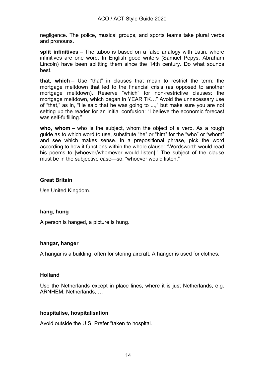negligence. The police, musical groups, and sports teams take plural verbs and pronouns.

**split infinitives** – The taboo is based on a false analogy with Latin, where infinitives are one word. In English good writers (Samuel Pepys, Abraham Lincoln) have been splitting them since the 14th century. Do what sounds best.

**that, which** – Use "that" in clauses that mean to restrict the term: the mortgage meltdown that led to the financial crisis (as opposed to another mortgage meltdown). Reserve "which" for non-restrictive clauses: the mortgage meltdown, which began in YEAR TK…" Avoid the unnecessary use of "that," as in, "He said that he was going to ...," but make sure you are not setting up the reader for an initial confusion: "I believe the economic forecast was self-fulfilling."

**who, whom** – who is the subject, whom the object of a verb. As a rough guide as to which word to use, substitute "he" or "him" for the "who" or "whom" and see which makes sense. In a prepositional phrase, pick the word according to how it functions within the whole clause: "Wordsworth would read his poems to [whoever/whomever would listen]." The subject of the clause must be in the subjective case—so, "whoever would listen."

## **Great Britain**

Use United Kingdom.

## **hang, hung**

A person is hanged, a picture is hung.

#### **hangar, hanger**

A hangar is a building, often for storing aircraft. A hanger is used for clothes.

#### **Holland**

Use the Netherlands except in place lines, where it is just Netherlands, e.g. ARNHEM, Netherlands, …

#### **hospitalise, hospitalisation**

Avoid outside the U.S. Prefer "taken to hospital.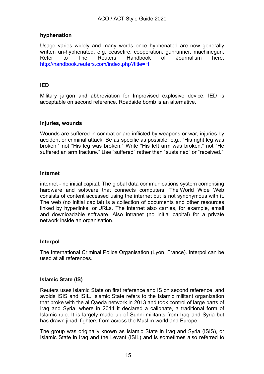# **hyphenation**

Usage varies widely and many words once hyphenated are now generally written un-hyphenated, e.g. ceasefire, cooperation, gunrunner, machinegun. Refer to The Reuters Handbook of Journalism here: http://handbook.reuters.com/index.php?title=H

## **IED**

Military jargon and abbreviation for Improvised explosive device. IED is acceptable on second reference. Roadside bomb is an alternative.

### **injuries, wounds**

Wounds are suffered in combat or are inflicted by weapons or war, injuries by accident or criminal attack. Be as specific as possible, e.g., "His right leg was broken," not "His leg was broken." Write "His left arm was broken," not "He suffered an arm fracture." Use "suffered" rather than "sustained" or "received."

### **internet**

internet - no initial capital. The global data communications system comprising hardware and software that connects computers. The World Wide Web consists of content accessed using the internet but is not synonymous with it. The web (no initial capital) is a collection of documents and other resources linked by hyperlinks, or URLs. The internet also carries, for example, email and downloadable software. Also intranet (no initial capital) for a private network inside an organisation.

## **Interpol**

The International Criminal Police Organisation (Lyon, France). Interpol can be used at all references.

## **Islamic State (IS)**

Reuters uses Islamic State on first reference and IS on second reference, and avoids ISIS and ISIL. Islamic State refers to the Islamic militant organization that broke with the al Qaeda network in 2013 and took control of large parts of Iraq and Syria, where in 2014 it declared a caliphate, a traditional form of Islamic rule. It is largely made up of Sunni militants from Iraq and Syria but has drawn jihadi fighters from across the Muslim world and Europe.

The group was originally known as Islamic State in Iraq and Syria (ISIS), or Islamic State in Iraq and the Levant (ISIL) and is sometimes also referred to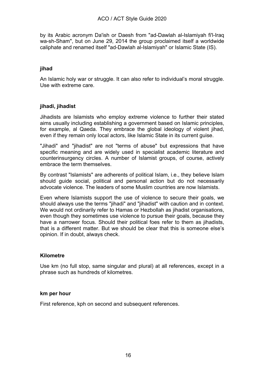by its Arabic acronym Da'ish or Daesh from "ad-Dawlah al-Islamiyah fi'l-Iraq wa-sh-Sham", but on June 29, 2014 the group proclaimed itself a worldwide caliphate and renamed itself "ad-Dawlah al-Islamiyah" or Islamic State (IS).

# **jihad**

An Islamic holy war or struggle. It can also refer to individual's moral struggle. Use with extreme care.

## **jihadi, jihadist**

Jihadists are Islamists who employ extreme violence to further their stated aims usually including establishing a government based on Islamic principles, for example, al Qaeda. They embrace the global ideology of violent jihad, even if they remain only local actors, like Islamic State in its current guise.

"Jihadi" and "jihadist" are not "terms of abuse" but expressions that have specific meaning and are widely used in specialist academic literature and counterinsurgency circles. A number of Islamist groups, of course, actively embrace the term themselves.

By contrast "Islamists" are adherents of political Islam, i.e., they believe Islam should guide social, political and personal action but do not necessarily advocate violence. The leaders of some Muslim countries are now Islamists.

Even where Islamists support the use of violence to secure their goals, we should always use the terms "jihadi" and "jihadist" with caution and in context. We would not ordinarily refer to Hamas or Hezbollah as jihadist organisations, even though they sometimes use violence to pursue their goals, because they have a narrower focus. Should their political foes refer to them as jihadists, that is a different matter. But we should be clear that this is someone else's opinion. If in doubt, always check.

## **Kilometre**

Use km (no full stop, same singular and plural) at all references, except in a phrase such as hundreds of kilometres.

## **km per hour**

First reference, kph on second and subsequent references.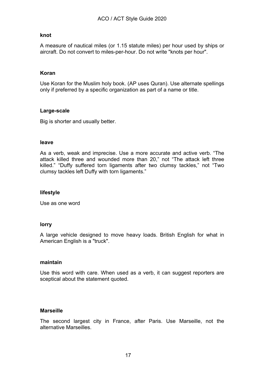# **knot**

A measure of nautical miles (or 1.15 statute miles) per hour used by ships or aircraft. Do not convert to miles-per-hour. Do not write "knots per hour".

## **Koran**

Use Koran for the Muslim holy book. (AP uses Quran). Use alternate spellings only if preferred by a specific organization as part of a name or title.

## **Large-scale**

Big is shorter and usually better.

### **leave**

As a verb, weak and imprecise. Use a more accurate and active verb. "The attack killed three and wounded more than 20," not "The attack left three killed." "Duffy suffered torn ligaments after two clumsy tackles," not "Two clumsy tackles left Duffy with torn ligaments."

## **lifestyle**

Use as one word

## **lorry**

A large vehicle designed to move heavy loads. British English for what in American English is a "truck".

## **maintain**

Use this word with care. When used as a verb, it can suggest reporters are sceptical about the statement quoted.

## **Marseille**

The second largest city in France, after Paris. Use Marseille, not the alternative Marseilles.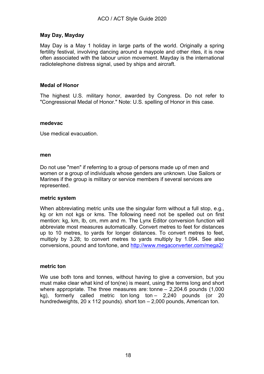## **May Day, Mayday**

May Day is a May 1 holiday in large parts of the world. Originally a spring fertility festival, involving dancing around a maypole and other rites, it is now often associated with the labour union movement. Mayday is the international radiotelephone distress signal, used by ships and aircraft.

## **Medal of Honor**

The highest U.S. military honor, awarded by Congress. Do not refer to "Congressional Medal of Honor." Note: U.S. spelling of Honor in this case.

### **medevac**

Use medical evacuation.

#### **men**

Do not use "men" if referring to a group of persons made up of men and women or a group of individuals whose genders are unknown. Use Sailors or Marines if the group is military or service members if several services are represented.

#### **metric system**

When abbreviating metric units use the singular form without a full stop, e.g., kg or km not kgs or kms. The following need not be spelled out on first mention: kg, km, lb, cm, mm and m. The Lynx Editor conversion function will abbreviate most measures automatically. Convert metres to feet for distances up to 10 metres, to yards for longer distances. To convert metres to feet, multiply by 3.28; to convert metres to yards multiply by 1.094. See also conversions, pound and ton/tone, and http://www.megaconverter.com/mega2/

#### **metric ton**

We use both tons and tonnes, without having to give a conversion, but you must make clear what kind of ton(ne) is meant, using the terms long and short where appropriate. The three measures are: tonne – 2,204.6 pounds (1,000 kg), formerly called metric ton long ton – 2,240 pounds (or 20 hundredweights, 20 x 112 pounds). short ton – 2,000 pounds, American ton.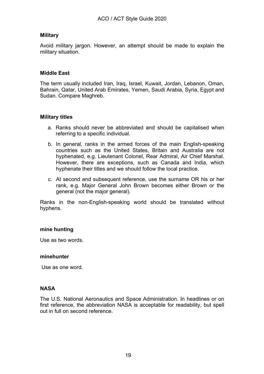## **Military**

Avoid military jargon. However, an attempt should be made to explain the military situation.

### **Middle East**

The term usually included Iran, Iraq, Israel, Kuwait, Jordan, Lebanon, Oman, Bahrain, Qatar, United Arab Emirates, Yemen, Saudi Arabia, Syria, Egypt and Sudan. Compare Maghreb.

### **Military titles**

- a. Ranks should never be abbreviated and should be capitalised when referring to a specific individual.
- b. In general, ranks in the armed forces of the main English-speaking countries such as the United States, Britain and Australia are not hyphenated, e.g. Lieutenant Colonel, Rear Admiral, Air Chief Marshal. However, there are exceptions, such as Canada and India, which hyphenate their titles and we should follow the local practice.
- c. At second and subsequent reference, use the surname OR his or her rank, e.g. Major General John Brown becomes either Brown or the general (not the major general).

Ranks in the non-English-speaking world should be translated without hyphens.

#### **mine hunting**

Use as two words.

#### **minehunter**

Use as one word.

### **NASA**

The U.S. National Aeronautics and Space Administration. In headlines or on first reference, the abbreviation NASA is acceptable for readability, but spell out in full on second reference.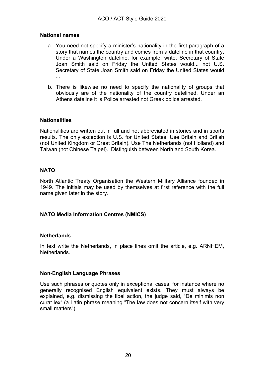## **National names**

- a. You need not specify a minister's nationality in the first paragraph of a story that names the country and comes from a dateline in that country. Under a Washington dateline, for example, write: Secretary of State Joan Smith said on Friday the United States would... not U.S. Secretary of State Joan Smith said on Friday the United States would ...
- b. There is likewise no need to specify the nationality of groups that obviously are of the nationality of the country datelined. Under an Athens dateline it is Police arrested not Greek police arrested.

## **Nationalities**

Nationalities are written out in full and not abbreviated in stories and in sports results. The only exception is U.S. for United States. Use Britain and British (not United Kingdom or Great Britain). Use The Netherlands (not Holland) and Taiwan (not Chinese Taipei). Distinguish between North and South Korea.

# **NATO**

North Atlantic Treaty Organisation the Western Military Alliance founded in 1949. The initials may be used by themselves at first reference with the full name given later in the story.

# **NATO Media Information Centres (NMICS)**

## **Netherlands**

In text write the Netherlands, in place lines omit the article, e.g. ARNHEM, **Netherlands** 

## **Non-English Language Phrases**

Use such phrases or quotes only in exceptional cases, for instance where no generally recognised English equivalent exists. They must always be explained, e.g. dismissing the libel action, the judge said, "De minimis non curat lex" (a Latin phrase meaning "The law does not concern itself with very small matters").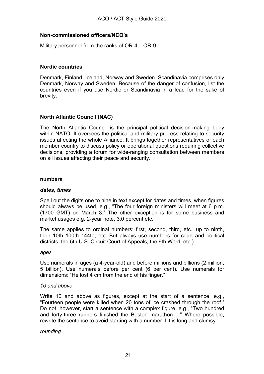# **Non-commissioned officers/NCO's**

Military personnel from the ranks of OR-4 – OR-9

### **Nordic countries**

Denmark, Finland, Iceland, Norway and Sweden. Scandinavia comprises only Denmark, Norway and Sweden. Because of the danger of confusion, list the countries even if you use Nordic or Scandinavia in a lead for the sake of brevity.

## **North Atlantic Council (NAC)**

The North Atlantic Council is the principal political decision-making body within NATO. It oversees the political and military process relating to security issues affecting the whole Alliance. It brings together representatives of each member country to discuss policy or operational questions requiring collective decisions, providing a forum for wide-ranging consultation between members on all issues affecting their peace and security.

#### **numbers**

### *dates, times*

Spell out the digits one to nine in text except for dates and times, when figures should always be used, e.g., "The four foreign ministers will meet at 6 p.m. (1700 GMT) on March 3." The other exception is for some business and market usages e.g. 2-year note, 3.0 percent etc.

The same applies to ordinal numbers: first, second, third, etc., up to ninth, then 10th 100th 144th, etc. But always use numbers for court and political districts: the 5th U.S. Circuit Court of Appeals, the 9th Ward, etc.).

#### *ages*

Use numerals in ages (a 4-year-old) and before millions and billions (2 million, 5 billion). Use numerals before per cent (6 per cent). Use numerals for dimensions: "He lost 4 cm from the end of his finger."

#### *10 and above*

Write 10 and above as figures, except at the start of a sentence, e.g., "Fourteen people were killed when 20 tons of ice crashed through the roof." Do not, however, start a sentence with a complex figure, e.g., "Two hundred and forty-three runners finished the Boston marathon ..." Where possible, rewrite the sentence to avoid starting with a number if it is long and clumsy.

#### *rounding*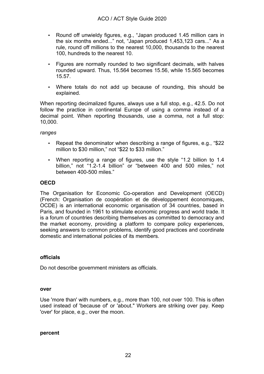- Round off unwieldy figures, e.g., "Japan produced 1.45 million cars in the six months ended..." not, "Japan produced 1,453,123 cars..." As a rule, round off millions to the nearest 10,000, thousands to the nearest 100, hundreds to the nearest 10.
- Figures are normally rounded to two significant decimals, with halves rounded upward. Thus, 15.564 becomes 15.56, while 15.565 becomes 15.57.
- Where totals do not add up because of rounding, this should be explained.

When reporting decimalized figures, always use a full stop, e.g., 42.5. Do not follow the practice in continental Europe of using a comma instead of a decimal point. When reporting thousands, use a comma, not a full stop: 10,000.

## *ranges*

- Repeat the denominator when describing a range of figures, e.g., "\$22 million to \$30 million," not "\$22 to \$33 million."
- When reporting a range of figures, use the style "1.2 billion to 1.4 billion," not "1.2-1.4 billion" or "between 400 and 500 miles," not between 400-500 miles."

## **OECD**

The Organisation for Economic Co-operation and Development (OECD) (French: Organisation de coopération et de développement économiques, OCDE) is an international economic organisation of 34 countries, based in Paris, and founded in 1961 to stimulate economic progress and world trade. It is a forum of countries describing themselves as committed to democracy and the market economy, providing a platform to compare policy experiences, seeking answers to common problems, identify good practices and coordinate domestic and international policies of its members.

## **officials**

Do not describe government ministers as officials.

#### **over**

Use 'more than' with numbers, e.g., more than 100, not over 100. This is often used instead of 'because of' or 'about." Workers are striking over pay. Keep 'over' for place, e.g., over the moon.

#### **percent**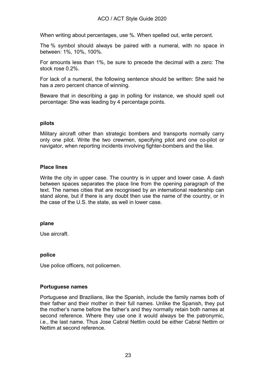When writing about percentages, use %. When spelled out, write percent.

The % symbol should always be paired with a numeral, with no space in between: 1%, 10%, 100%.

For amounts less than 1%, be sure to precede the decimal with a zero: The stock rose 0.2%.

For lack of a numeral, the following sentence should be written: She said he has a zero percent chance of winning.

Beware that in describing a gap in polling for instance, we should spell out percentage: She was leading by 4 percentage points.

### **pilots**

Military aircraft other than strategic bombers and transports normally carry only one pilot. Write the two crewmen, specifying pilot and one co-pilot or navigator, when reporting incidents involving fighter-bombers and the like.

### **Place lines**

Write the city in upper case. The country is in upper and lower case. A dash between spaces separates the place line from the opening paragraph of the text. The names cities that are recognised by an international readership can stand alone, but if there is any doubt then use the name of the country, or in the case of the U.S. the state, as well in lower case.

#### **plane**

Use aircraft.

### **police**

Use police officers, not policemen.

#### **Portuguese names**

Portuguese and Brazilians, like the Spanish, include the family names both of their father and their mother in their full names. Unlike the Spanish, they put the mother's name before the father's and they normally retain both names at second reference. Where they use one it would always be the patronymic, i.e., the last name. Thus Jose Cabral Nettim could be either Cabral Nettim or Nettim at second reference.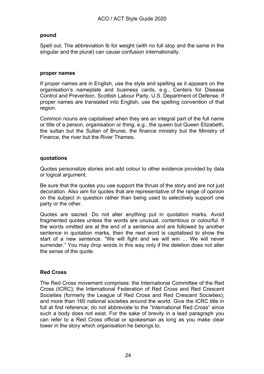## **pound**

Spell out. The abbreviation lb for weight (with no full stop and the same in the singular and the plural) can cause confusion internationally.

### **proper names**

If proper names are in English, use the style and spelling as it appears on the organisation's nameplate and business cards, e.g., Centers for Disease Control and Prevention, Scottish Labour Party, U.S. Department of Defense. If proper names are translated into English, use the spelling convention of that region.

Common nouns are capitalised when they are an integral part of the full name or title of a person, organisation or thing, e.g., the queen but Queen Elizabeth, the sultan but the Sultan of Brunei, the finance ministry but the Ministry of Finance, the river but the River Thames.

## **quotations**

Quotes personalize stories and add colour to other evidence provided by data or logical argument.

Be sure that the quotes you use support the thrust of the story and are not just decoration. Also aim for quotes that are representative of the range of opinion on the subject in question rather than being used to selectively support one party or the other.

Quotes are sacred. Do not alter anything put in quotation marks. Avoid fragmented quotes unless the words are unusual, contentious or colourful. If the words omitted are at the end of a sentence and are followed by another sentence in quotation marks, then the next word is capitalised to show the start of a new sentence. "We will fight and we will win ... We will never surrender." You may drop words in this way only if the deletion does not alter the sense of the quote.

# **Red Cross**

The Red Cross movement comprises: the International Committee of the Red Cross (ICRC); the International Federation of Red Cross and Red Crescent Societies (formerly the League of Red Cross and Red Crescent Societies); and more than 160 national societies around the world. Give the ICRC title in full at first reference; do not abbreviate to the "International Red Cross" since such a body does not exist. For the sake of brevity in a lead paragraph you can refer to a Red Cross official or spokesman as long as you make clear lower in the story which organisation he belongs to.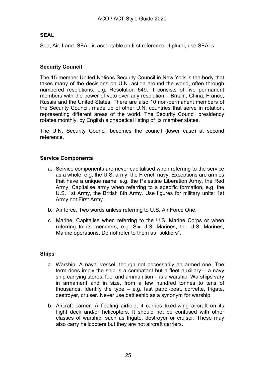# **SEAL**

Sea, Air, Land. SEAL is acceptable on first reference. If plural, use SEALs.

## **Security Council**

The 15-member United Nations Security Council in New York is the body that takes many of the decisions on U.N. action around the world, often through numbered resolutions, e.g. Resolution 649. It consists of five permanent members with the power of veto over any resolution – Britain, China, France, Russia and the United States. There are also 10 non-permanent members of the Security Council, made up of other U.N. countries that serve in rotation, representing different areas of the world. The Security Council presidency rotates monthly, by English alphabetical listing of its member states.

The U.N. Security Council becomes the council (lower case) at second reference.

## **Service Components**

- a. Service components are never capitalised when referring to the service as a whole, e.g. the U.S. army, the French navy. Exceptions are armies that have a unique name, e.g. the Palestine Liberation Army, the Red Army. Capitalise army when referring to a specific formation, e.g. the U.S. 1st Army, the British 8th Army. Use figures for military units: 1st Army not First Army.
- b. Air force. Two words unless referring to U.S. Air Force One.
- c. Marine. Capitalise when referring to the U.S. Marine Corps or when referring to its members, e.g. Six U.S. Marines, the U.S. Marines, Marine operations. Do not refer to them as "soldiers".

#### **Ships**

- a. Warship. A naval vessel, though not necessarily an armed one. The term does imply the ship is a combatant but a fleet auxiliary – a navy ship carrying stores, fuel and ammunition – is a warship. Warships vary in armament and in size, from a few hundred tonnes to tens of thousands. Identify the type – e.g. fast patrol-boat, corvette, frigate, destroyer, cruiser. Never use battleship as a synonym for warship.
- b. Aircraft carrier. A floating airfield, it carries fixed-wing aircraft on its flight deck and/or helicopters. It should not be confused with other classes of warship, such as frigate, destroyer or cruiser. These may also carry helicopters but they are not aircraft carriers.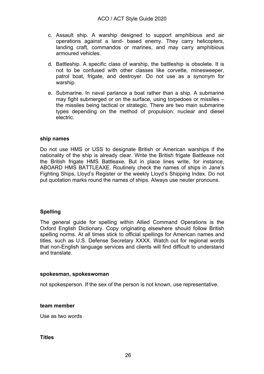- c. Assault ship. A warship designed to support amphibious and air operations against a land- based enemy. They carry helicopters, landing craft, commandos or marines, and may carry amphibious armoured vehicles.
- d. Battleship. A specific class of warship, the battleship is obsolete. It is not to be confused with other classes like corvette, minesweeper, patrol boat, frigate, and destroyer. Do not use as a synonym for warship.
- e. Submarine. In naval parlance a boat rather than a ship. A submarine may fight submerged or on the surface, using torpedoes or missiles – the missiles being tactical or strategic. There are two main submarine types depending on the method of propulsion: nuclear and diesel electric.

### **ship names**

Do not use HMS or USS to designate British or American warships if the nationality of the ship is already clear. Write the British frigate Battleaxe not the British frigate HMS Battleaxe. But in place lines write, for instance, ABOARD HMS BATTLEAXE. Routinely check the names of ships in Jane's Fighting Ships, Lloyd's Register or the weekly Lloyd's Shipping Index. Do not put quotation marks round the names of ships. Always use neuter pronouns.

## **Spelling**

The general guide for spelling within Allied Command Operations is the Oxford English Dictionary. Copy originating elsewhere should follow British spelling norms. At all times stick to official spellings for American names and titles, such as U.S. Defense Secretary XXXX. Watch out for regional words that non-English language services and clients will find difficult to understand and translate.

#### **spokesman, spokeswoman**

not spokesperson. If the sex of the person is not known, use representative.

#### **team member**

Use as two words

### **Titles**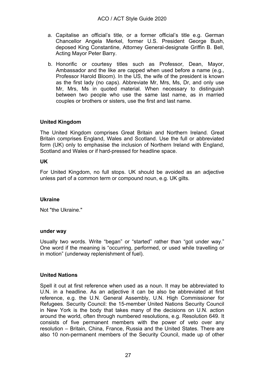- a. Capitalise an official's title, or a former official's title e.g. German Chancellor Angela Merkel, former U.S. President George Bush, deposed King Constantine, Attorney General-designate Griffin B. Bell, Acting Mayor Peter Barry.
- b. Honorific or courtesy titles such as Professor, Dean, Mayor, Ambassador and the like are capped when used before a name (e.g., Professor Harold Bloom). In the US, the wife of the president is known as the first lady (no caps). Abbreviate Mr, Mrs, Ms, Dr, and only use Mr, Mrs, Ms in quoted material. When necessary to distinguish between two people who use the same last name, as in married couples or brothers or sisters, use the first and last name.

## **United Kingdom**

The United Kingdom comprises Great Britain and Northern Ireland. Great Britain comprises England, Wales and Scotland. Use the full or abbreviated form (UK) only to emphasise the inclusion of Northern Ireland with England, Scotland and Wales or if hard-pressed for headline space.

## **UK**

For United Kingdom, no full stops. UK should be avoided as an adjective unless part of a common term or compound noun, e.g. UK gilts.

## **Ukraine**

Not "the Ukraine."

## **under way**

Usually two words. Write "began" or "started" rather than "got under way." One word if the meaning is "occurring, performed, or used while travelling or in motion" (underway replenishment of fuel).

## **United Nations**

Spell it out at first reference when used as a noun. It may be abbreviated to U.N. in a headline. As an adjective it can be also be abbreviated at first reference, e.g. the U.N. General Assembly, U.N. High Commissioner for Refugees. Security Council: the 15-member United Nations Security Council in New York is the body that takes many of the decisions on U.N. action around the world, often through numbered resolutions, e.g. Resolution 649. It consists of five permanent members with the power of veto over any resolution – Britain, China, France, Russia and the United States. There are also 10 non-permanent members of the Security Council, made up of other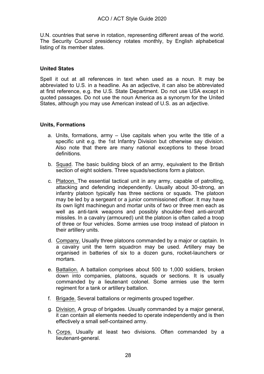U.N. countries that serve in rotation, representing different areas of the world. The Security Council presidency rotates monthly, by English alphabetical listing of its member states.

# **United States**

Spell it out at all references in text when used as a noun. It may be abbreviated to U.S. in a headline. As an adjective, it can also be abbreviated at first reference, e.g. the U.S. State Department. Do not use USA except in quoted passages. Do not use the noun America as a synonym for the United States, although you may use American instead of U.S. as an adjective.

## **Units, Formations**

- a. Units, formations, army Use capitals when you write the title of a specific unit e.g. the 1st Infantry Division but otherwise say division. Also note that there are many national exceptions to these broad definitions.
- b. Squad. The basic building block of an army, equivalent to the British section of eight soldiers. Three squads/sections form a platoon.
- c. Platoon. The essential tactical unit in any army, capable of patrolling, attacking and defending independently. Usually about 30-strong, an infantry platoon typically has three sections or squads. The platoon may be led by a sergeant or a junior commissioned officer. It may have its own light machinegun and mortar units of two or three men each as well as anti-tank weapons and possibly shoulder-fired anti-aircraft missiles. In a cavalry (armoured) unit the platoon is often called a troop of three or four vehicles. Some armies use troop instead of platoon in their artillery units.
- d. Company. Usually three platoons commanded by a major or captain. In a cavalry unit the term squadron may be used. Artillery may be organised in batteries of six to a dozen guns, rocket-launchers or mortars.
- e. Battalion. A battalion comprises about 500 to 1,000 soldiers, broken down into companies, platoons, squads or sections. It is usually commanded by a lieutenant colonel. Some armies use the term regiment for a tank or artillery battalion.
- f. Brigade. Several battalions or regiments grouped together.
- g. Division. A group of brigades. Usually commanded by a major general, it can contain all elements needed to operate independently and is then effectively a small self-contained army.
- h. Corps. Usually at least two divisions. Often commanded by a lieutenant-general.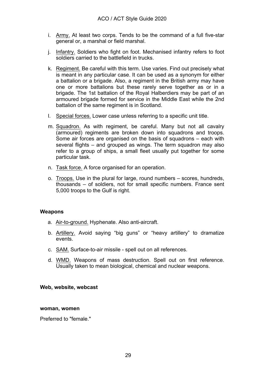- i. Army. At least two corps. Tends to be the command of a full five-star general or, a marshal or field marshal.
- j. Infantry. Soldiers who fight on foot. Mechanised infantry refers to foot soldiers carried to the battlefield in trucks.
- k. Regiment. Be careful with this term. Use varies. Find out precisely what is meant in any particular case. It can be used as a synonym for either a battalion or a brigade. Also, a regiment in the British army may have one or more battalions but these rarely serve together as or in a brigade. The 1st battalion of the Royal Halberdiers may be part of an armoured brigade formed for service in the Middle East while the 2nd battalion of the same regiment is in Scotland.
- l. Special forces. Lower case unless referring to a specific unit title.
- m. Squadron. As with regiment, be careful. Many but not all cavalry (armoured) regiments are broken down into squadrons and troops. Some air forces are organised on the basis of squadrons – each with several flights – and grouped as wings. The term squadron may also refer to a group of ships, a small fleet usually put together for some particular task.
- n. Task force. A force organised for an operation.
- o. Troops. Use in the plural for large, round numbers scores, hundreds, thousands – of soldiers, not for small specific numbers. France sent 5,000 troops to the Gulf is right.

## **Weapons**

- a. Air-to-ground. Hyphenate. Also anti-aircraft.
- b. Artillery. Avoid saying "big guns" or "heavy artillery" to dramatize events.
- c. SAM. Surface-to-air missile spell out on all references.
- d. WMD. Weapons of mass destruction. Spell out on first reference. Usually taken to mean biological, chemical and nuclear weapons.

### **Web, website, webcast**

#### **woman, women**

Preferred to "female."